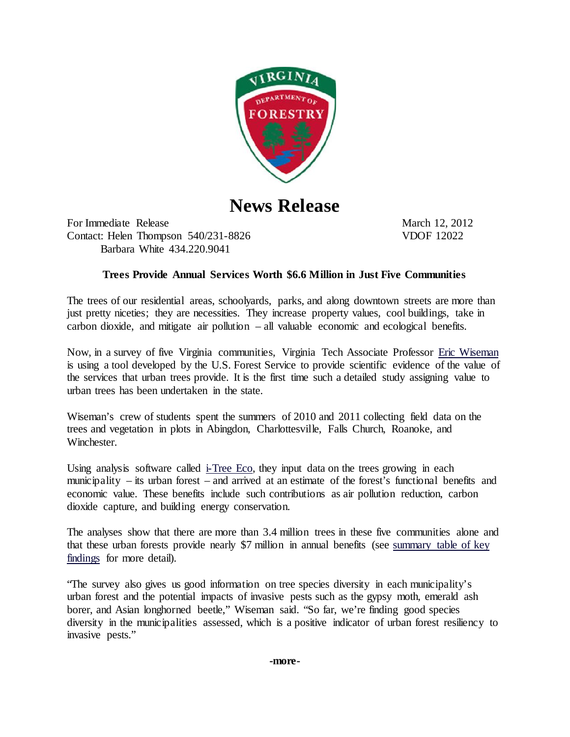

**News Release**

For Immediate Release March 12, 2012 Contact: Helen Thompson 540/231-8826 VDOF 12022 Barbara White 434.220.9041

## **Trees Provide Annual Services Worth \$6.6 Million in Just Five Communities**

The trees of our residential areas, schoolyards, parks, and along downtown streets are more than just pretty niceties; they are necessities. They increase property values, cool buildings, take in carbon dioxide, and mitigate air pollution – all valuable economic and ecological benefits.

Now, in a survey of five Virginia communities, Virginia Tech Associate Professor [Eric Wiseman](http://frec.vt.edu/Faculty/EricWiseman.html) is using a tool developed by the U.S. Forest Service to provide scientific evidence of the value of the services that urban trees provide. It is the first time such a detailed study assigning value to urban trees has been undertaken in the state.

Wiseman's crew of students spent the summers of 2010 and 2011 collecting field data on the trees and vegetation in plots in Abingdon, Charlottesville, Falls Church, Roanoke, and Winchester.

Using analysis software called [i-Tree Eco,](http://www.itreetools.org/eco/) they input data on the trees growing in each municipality – its urban forest – and arrived at an estimate of the forest's functional benefits and economic value. These benefits include such contributions as air pollution reduction, carbon dioxide capture, and building energy conservation.

The analyses show that there are more than 3.4 million trees in these five communities alone and that these urban forests provide nearly \$7 million in annual benefits (see [summary table of key](http://urbanforestry.frec.vt.edu/eco.html)  [findings](http://urbanforestry.frec.vt.edu/eco.html) for more detail).

"The survey also gives us good information on tree species diversity in each municipality's urban forest and the potential impacts of invasive pests such as the gypsy moth, emerald ash borer, and Asian longhorned beetle," Wiseman said. "So far, we're finding good species diversity in the municipalities assessed, which is a positive indicator of urban forest resiliency to invasive pests."

**-more-**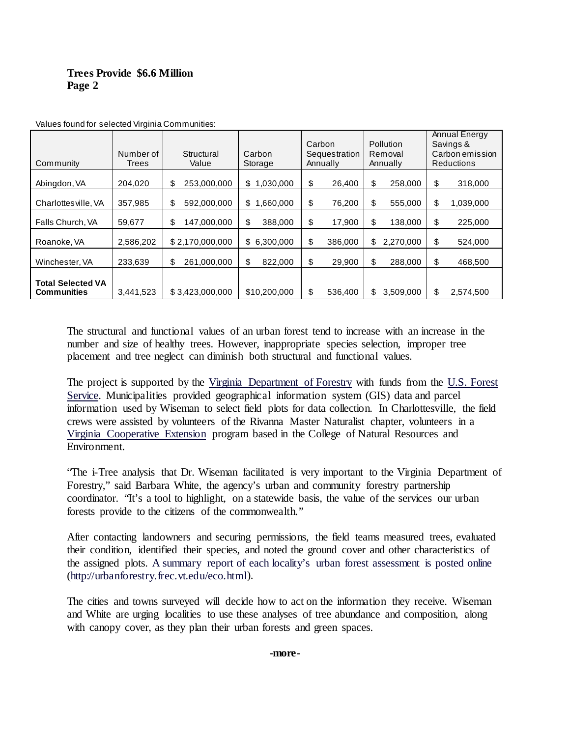## **Trees Provide \$6.6 Million Page 2**

| Community                                      | Number of<br>Trees | Structural<br>Value | Carbon<br>Storage   | Carbon<br>Sequestration<br>Annually | <b>Pollution</b><br>Removal<br>Annually | Annual Energy<br>Savings &<br>Carbon emission<br><b>Reductions</b> |
|------------------------------------------------|--------------------|---------------------|---------------------|-------------------------------------|-----------------------------------------|--------------------------------------------------------------------|
| Abingdon, VA                                   | 204,020            | 253,000,000<br>\$   | 1,030,000<br>\$     | \$<br>26,400                        | \$<br>258,000                           | \$<br>318,000                                                      |
| Charlottes ville, VA                           | 357,985            | 592,000,000<br>\$   | \$<br>,660,000<br>1 | \$<br>76,200                        | \$<br>555,000                           | \$<br>1,039,000                                                    |
| Falls Church, VA                               | 59,677             | \$<br>147,000,000   | \$<br>388,000       | \$<br>17,900                        | \$<br>138,000                           | \$<br>225,000                                                      |
| Roanoke, VA                                    | 2,586,202          | \$2,170,000,000     | \$6,300,000         | \$<br>386,000                       | 2,270,000<br>\$                         | \$<br>524,000                                                      |
| Winchester, VA                                 | 233,639            | 261,000,000<br>\$   | \$<br>822,000       | \$<br>29,900                        | \$<br>288,000                           | \$<br>468,500                                                      |
| <b>Total Selected VA</b><br><b>Communities</b> | 3,441,523          | \$3,423,000,000     | \$10,200,000        | \$<br>536,400                       | \$<br>3.509.000                         | \$<br>2,574,500                                                    |

Values found for selected Virginia Communities:

The structural and functional values of an urban forest tend to increase with an increase in the number and size of healthy trees. However, inappropriate species selection, improper tree placement and tree neglect can diminish both structural and functional values.

The project is supported by the [Virginia Department of Forestry](http://www.dof.virginia.gov/urban/index.htm) with funds from the [U.S. Forest](http://www.fs.fed.us/ucf/index.html)  [Service.](http://www.fs.fed.us/ucf/index.html) Municipalities provided geographical information system (GIS) data and parcel information used by Wiseman to select field plots for data collection. In Charlottesville, the field crews were assisted by volunteers of the Rivanna Master Naturalist chapter, volunteers in a [Virginia Cooperative Extension](http://www.ext.vt.edu/) program based in the College of Natural Resources and Environment.

"The i-Tree analysis that Dr. Wiseman facilitated is very important to the Virginia Department of Forestry," said Barbara White, the agency's urban and community forestry partnership coordinator. "It's a tool to highlight, on a statewide basis, the value of the services our urban forests provide to the citizens of the commonwealth."

After contacting landowners and securing permissions, the field teams measured trees, evaluated their condition, identified their species, and noted the ground cover and other characteristics of the assigned plots. [A summary report of each locality's urban forest assessment is posted online](http://urbanforestry.frec.vt.edu/eco.html) [\(http://urbanforestry.frec.vt.edu/eco.html\).](http://urbanforestry.frec.vt.edu/eco.html)

The cities and towns surveyed will decide how to act on the information they receive. Wiseman and White are urging localities to use these analyses of tree abundance and composition, along with canopy cover, as they plan their urban forests and green spaces.

## **-more-**